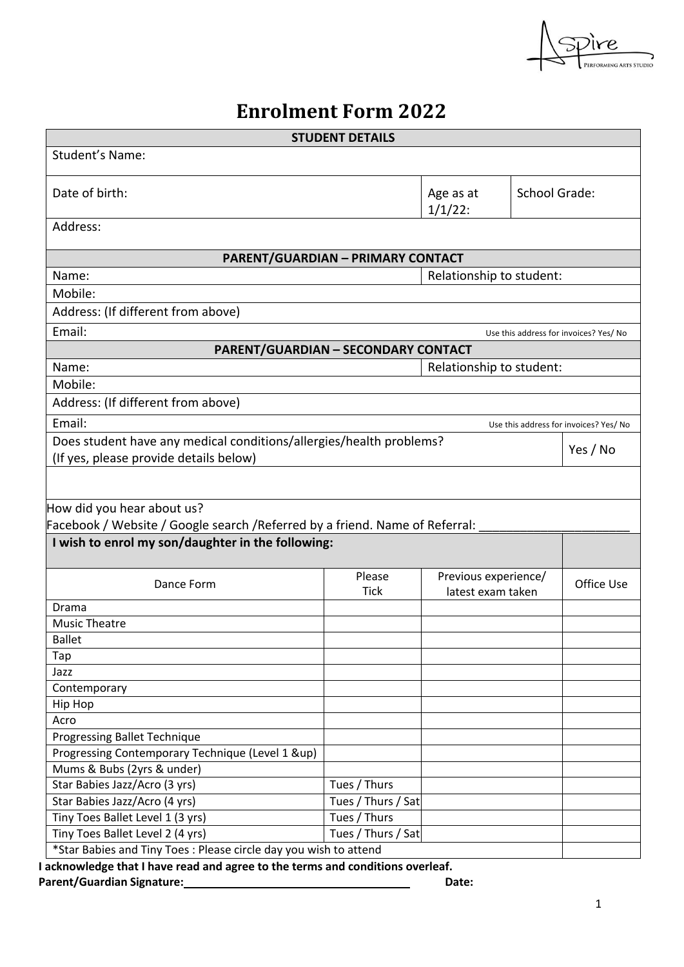

# **Enrolment Form 2022**

| <b>STUDENT DETAILS</b>                                                                               |                          |                          |                      |                                        |  |  |
|------------------------------------------------------------------------------------------------------|--------------------------|--------------------------|----------------------|----------------------------------------|--|--|
| Student's Name:                                                                                      |                          |                          |                      |                                        |  |  |
| Date of birth:                                                                                       |                          | Age as at<br>$1/1/22$ :  | <b>School Grade:</b> |                                        |  |  |
| Address:                                                                                             |                          |                          |                      |                                        |  |  |
| <b>PARENT/GUARDIAN - PRIMARY CONTACT</b>                                                             |                          |                          |                      |                                        |  |  |
| Name:                                                                                                | Relationship to student: |                          |                      |                                        |  |  |
| Mobile:                                                                                              |                          |                          |                      |                                        |  |  |
| Address: (If different from above)                                                                   |                          |                          |                      |                                        |  |  |
| Email:                                                                                               |                          |                          |                      | Use this address for invoices? Yes/ No |  |  |
| <b>PARENT/GUARDIAN - SECONDARY CONTACT</b>                                                           |                          |                          |                      |                                        |  |  |
| Name:                                                                                                |                          | Relationship to student: |                      |                                        |  |  |
| Mobile:                                                                                              |                          |                          |                      |                                        |  |  |
| Address: (If different from above)                                                                   |                          |                          |                      |                                        |  |  |
| Email:                                                                                               |                          |                          |                      | Use this address for invoices? Yes/ No |  |  |
| Does student have any medical conditions/allergies/health problems?                                  |                          |                          |                      |                                        |  |  |
| (If yes, please provide details below)                                                               |                          |                          |                      | Yes / No                               |  |  |
|                                                                                                      |                          |                          |                      |                                        |  |  |
|                                                                                                      |                          |                          |                      |                                        |  |  |
| How did you hear about us?                                                                           |                          |                          |                      |                                        |  |  |
| Facebook / Website / Google search / Referred by a friend. Name of Referral:                         |                          |                          |                      |                                        |  |  |
| I wish to enrol my son/daughter in the following:                                                    |                          |                          |                      |                                        |  |  |
|                                                                                                      | Please                   | Previous experience/     |                      |                                        |  |  |
| Dance Form                                                                                           | <b>Tick</b>              | latest exam taken        |                      | Office Use                             |  |  |
| Drama                                                                                                |                          |                          |                      |                                        |  |  |
| <b>Music Theatre</b>                                                                                 |                          |                          |                      |                                        |  |  |
| <b>Ballet</b>                                                                                        |                          |                          |                      |                                        |  |  |
| Tap                                                                                                  |                          |                          |                      |                                        |  |  |
| Jazz                                                                                                 |                          |                          |                      |                                        |  |  |
| Contemporary                                                                                         |                          |                          |                      |                                        |  |  |
| Hip Hop                                                                                              |                          |                          |                      |                                        |  |  |
| Acro                                                                                                 |                          |                          |                      |                                        |  |  |
| <b>Progressing Ballet Technique</b>                                                                  |                          |                          |                      |                                        |  |  |
| Progressing Contemporary Technique (Level 1 &up)                                                     |                          |                          |                      |                                        |  |  |
| Mums & Bubs (2yrs & under)                                                                           |                          |                          |                      |                                        |  |  |
| Star Babies Jazz/Acro (3 yrs)                                                                        |                          |                          |                      |                                        |  |  |
|                                                                                                      | Tues / Thurs             |                          |                      |                                        |  |  |
| Star Babies Jazz/Acro (4 yrs)                                                                        | Tues / Thurs / Sat       |                          |                      |                                        |  |  |
| Tiny Toes Ballet Level 1 (3 yrs)                                                                     | Tues / Thurs             |                          |                      |                                        |  |  |
| Tiny Toes Ballet Level 2 (4 yrs)<br>*Star Babies and Tiny Toes: Please circle day you wish to attend | Tues / Thurs / Sat       |                          |                      |                                        |  |  |

**Parent/Guardian Signature: Date: Date: Date: Date: Date: Date: Date: Date: Date: Date: Date: Date: Date: Date: Date: Date: Date: Date: Date: Date: Date: Date: Date: Date:**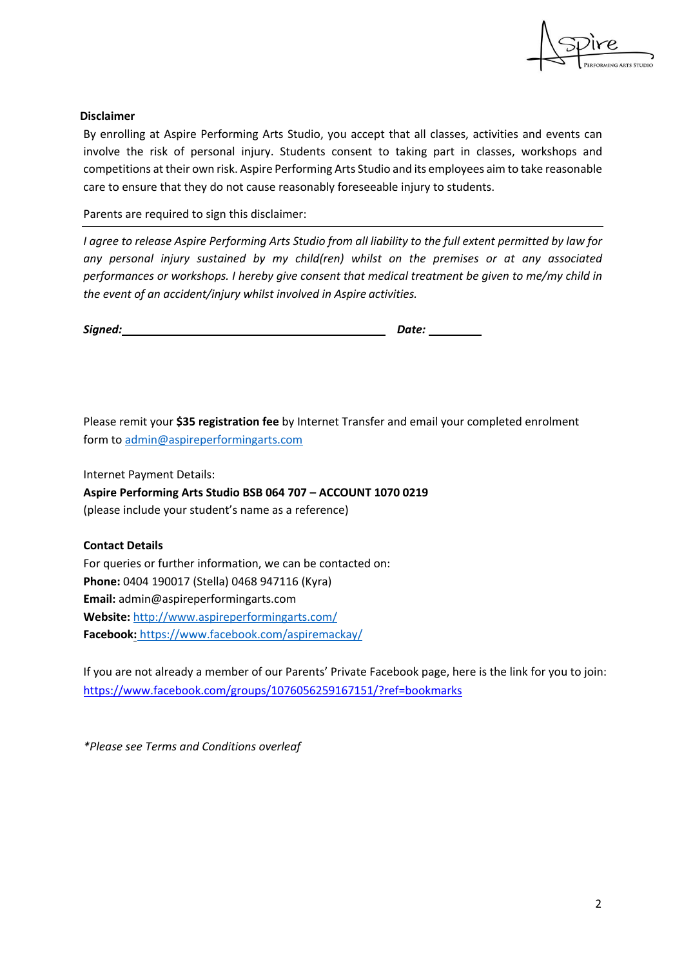

#### **Disclaimer**

By enrolling at Aspire Performing Arts Studio, you accept that all classes, activities and events can involve the risk of personal injury. Students consent to taking part in classes, workshops and competitions at their own risk. Aspire Performing Arts Studio and its employees aim to take reasonable care to ensure that they do not cause reasonably foreseeable injury to students.

Parents are required to sign this disclaimer:

*I agree to release Aspire Performing Arts Studio from all liability to the full extent permitted by law for any personal injury sustained by my child(ren) whilst on the premises or at any associated performances or workshops. I hereby give consent that medical treatment be given to me/my child in the event of an accident/injury whilst involved in Aspire activities.*

| Signed: | Date: |  |
|---------|-------|--|
|         |       |  |

Please remit your **\$35 registration fee** by Internet Transfer and email your completed enrolment form to admin@aspireperformingarts.com

Internet Payment Details:

**Aspire Performing Arts Studio BSB 064 707 – ACCOUNT 1070 0219** (please include your student's name as a reference)

#### **Contact Details**

For queries or further information, we can be contacted on: **Phone:** 0404 190017 (Stella) 0468 947116 (Kyra) **Email:** admin@aspireperformingarts.com **Website:** http://www.aspireperformingarts.com/ **Facebook:** https://www.facebook.com/aspiremackay/

If you are not already a member of our Parents' Private Facebook page, here is the link for you to join: https://www.facebook.com/groups/1076056259167151/?ref=bookmarks

*\*Please see Terms and Conditions overleaf*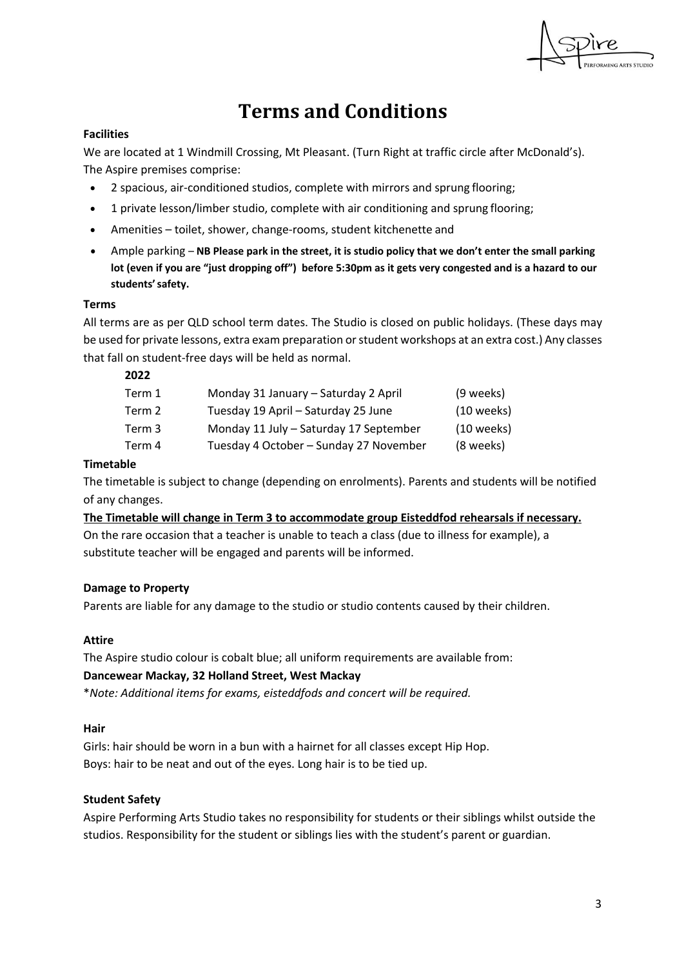

# **Terms and Conditions**

# **Facilities**

We are located at 1 Windmill Crossing, Mt Pleasant. (Turn Right at traffic circle after McDonald's). The Aspire premises comprise:

- 2 spacious, air-conditioned studios, complete with mirrors and sprung flooring;
- 1 private lesson/limber studio, complete with air conditioning and sprung flooring;
- Amenities toilet, shower, change-rooms, student kitchenette and
- Ample parking **NB Please park in the street, it is studio policy that we don't enter the small parking lot (even if you are "just dropping off") before 5:30pm as it gets very congested and is a hazard to our**  students' safety.

#### **Terms**

All terms are as per QLD school term dates. The Studio is closed on public holidays. (These days may be used for private lessons, extra exam preparation or student workshops at an extra cost.) Any classes that fall on student-free days will be held as normal.

#### **2022**

| Term 1 | Monday 31 January - Saturday 2 April   | (9 weeks)    |
|--------|----------------------------------------|--------------|
| Term 2 | Tuesday 19 April - Saturday 25 June    | $(10$ weeks) |
| Term 3 | Monday 11 July - Saturday 17 September | $(10$ weeks) |
| Term 4 | Tuesday 4 October - Sunday 27 November | (8 weeks)    |

#### **Timetable**

The timetable is subject to change (depending on enrolments). Parents and students will be notified of any changes.

**The Timetable will change in Term 3 to accommodate group Eisteddfod rehearsals if necessary.** On the rare occasion that a teacher is unable to teach a class (due to illness for example), a substitute teacher will be engaged and parents will be informed.

#### **Damage to Property**

Parents are liable for any damage to the studio or studio contents caused by their children.

#### **Attire**

The Aspire studio colour is cobalt blue; all uniform requirements are available from:

#### **Dancewear Mackay, 32 Holland Street, West Mackay**

\**Note: Additional items for exams, eisteddfods and concert will be required.*

#### **Hair**

Girls: hair should be worn in a bun with a hairnet for all classes except Hip Hop. Boys: hair to be neat and out of the eyes. Long hair is to be tied up.

#### **Student Safety**

Aspire Performing Arts Studio takes no responsibility for students or their siblings whilst outside the studios. Responsibility for the student or siblings lies with the student's parent or guardian.